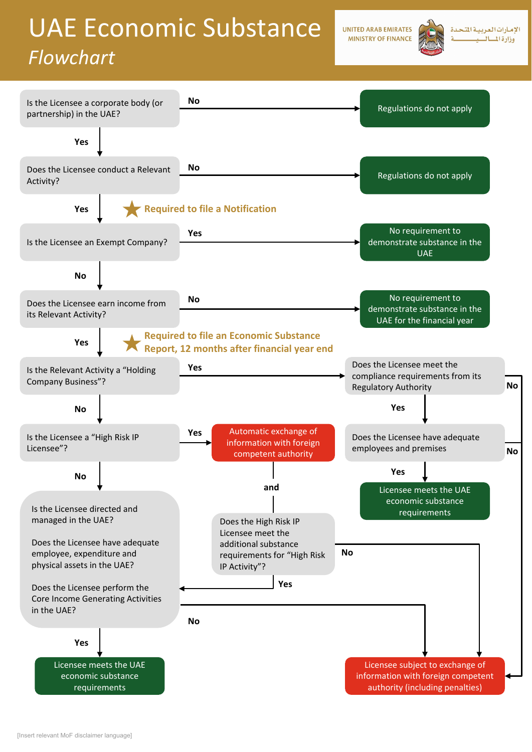# UAE Economic Substance

### *Flowchart*

**UNITED ARAB EMIRATES MINISTRY OF FINANCE** 



الإمارات العربية المت وزارة المسال